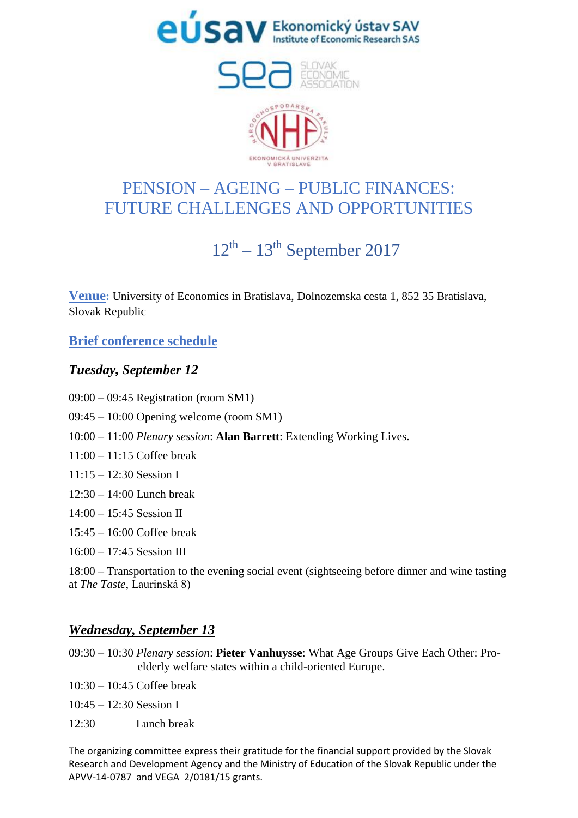



## PENSION – AGEING – PUBLIC FINANCES: FUTURE CHALLENGES AND OPPORTUNITIES

# $12<sup>th</sup> - 13<sup>th</sup>$  September 2017

**Venue:** University of Economics in Bratislava, Dolnozemska cesta 1, 852 35 Bratislava, Slovak Republic

**Brief conference schedule**

#### *Tuesday, September 12*

- 09:00 09:45 Registration (room SM1)
- 09:45 10:00 Opening welcome (room SM1)
- 10:00 11:00 *Plenary session*: **Alan Barrett**: Extending Working Lives.
- 11:00 11:15 Coffee break
- $11:15 12:30$  Session I
- 12:30 14:00 Lunch break
- 14:00 15:45 Session II
- $15.45 16.00$  Coffee break
- 16:00 17:45 Session III

18:00 – Transportation to the evening social event (sightseeing before dinner and wine tasting at *The Taste*, Laurinská 8)

### *Wednesday, September 13*

- 09:30 10:30 *Plenary session*: **Pieter Vanhuysse**: What Age Groups Give Each Other: Proelderly welfare states within a child-oriented Europe.
- 10:30 10:45 Coffee break
- 10:45 12:30 Session I
- 12:30 Lunch break

The organizing committee express their gratitude for the financial support provided by the Slovak Research and Development Agency and the Ministry of Education of the Slovak Republic under the APVV-14-0787 and VEGA 2/0181/15 grants.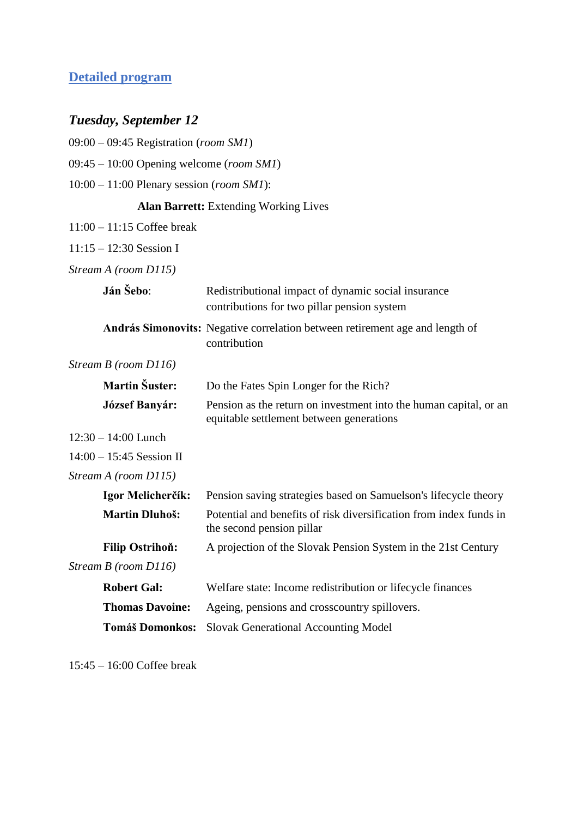### **Detailed program**

## *Tuesday, September 12*

| $09:00 - 09:45$ Registration (room SM1)              |                                                                                                               |
|------------------------------------------------------|---------------------------------------------------------------------------------------------------------------|
| $09:45 - 10:00$ Opening welcome (room SM1)           |                                                                                                               |
| $10:00 - 11:00$ Plenary session ( <i>room SM1</i> ): |                                                                                                               |
|                                                      | <b>Alan Barrett:</b> Extending Working Lives                                                                  |
| $11:00 - 11:15$ Coffee break                         |                                                                                                               |
| $11:15 - 12:30$ Session I                            |                                                                                                               |
| Stream A (room D115)                                 |                                                                                                               |
| Ján Šebo:                                            | Redistributional impact of dynamic social insurance<br>contributions for two pillar pension system            |
|                                                      | András Simonovits: Negative correlation between retirement age and length of<br>contribution                  |
| Stream B (room D116)                                 |                                                                                                               |
| <b>Martin Šuster:</b>                                | Do the Fates Spin Longer for the Rich?                                                                        |
| <b>József Banyár:</b>                                | Pension as the return on investment into the human capital, or an<br>equitable settlement between generations |
| $12:30 - 14:00$ Lunch                                |                                                                                                               |
| $14:00 - 15:45$ Session II                           |                                                                                                               |
| Stream A (room D115)                                 |                                                                                                               |
| Igor Melicherčík:                                    | Pension saving strategies based on Samuelson's lifecycle theory                                               |
| <b>Martin Dluhoš:</b>                                | Potential and benefits of risk diversification from index funds in<br>the second pension pillar               |
| <b>Filip Ostrihoň:</b>                               | A projection of the Slovak Pension System in the 21st Century                                                 |
| Stream B (room D116)                                 |                                                                                                               |
| <b>Robert Gal:</b>                                   | Welfare state: Income redistribution or lifecycle finances                                                    |
| <b>Thomas Davoine:</b>                               | Ageing, pensions and crosscountry spillovers.                                                                 |
| <b>Tomáš Domonkos:</b>                               | <b>Slovak Generational Accounting Model</b>                                                                   |

15:45 – 16:00 Coffee break